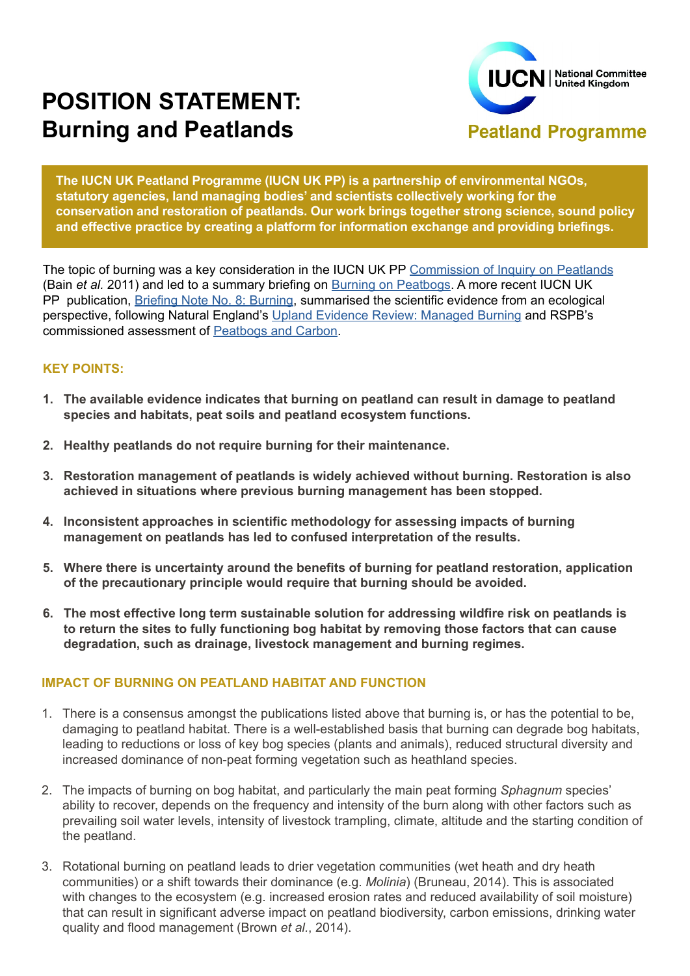# **POSITION STATEMENT: Burning and Peatlands**



**The IUCN UK Peatland Programme (IUCN UK PP) is a partnership of environmental NGOs, statutory agencies, land managing bodies' and scientists collectively working for the conservation and restoration of peatlands. Our work brings together strong science, sound policy and effective practice by creating a platform for information exchange and providing briefings.**

The topic of burning was a key consideration in the IUCN UK PP [Commission of Inquiry on Peatlands](http://www.iucn-uk-peatlandprogramme.org/publications/commission-inquiry/inquiry-findings) (Bain *et al.* 2011) and led to a summary briefing on [Burning on Peatbogs.](http://www.iucn-uk-peatlandprogramme.org/sites/www.iucn-uk-peatlandprogramme.org/files/Burning and Peatbogs%2C June 2011.pdf) A more recent IUCN UK PP publication, [Briefing Note No. 8: Burning](http://www.iucn-uk-peatlandprogramme.org/sites/www.iucn-uk-peatlandprogramme.org/files/8%20Burning%20%20final%20-%205th%20November%202014.pdf), summarised the scientific evidence from an ecological perspective, following Natural England's [Upland Evidence Review: Managed Burning](http://publications.naturalengland.org.uk/publication/5978072?category=4993022171283456) and RSPB's commissioned assessment of [Peatbogs and Carbon](https://www.rspb.org.uk/Images/Peatbogs_and_carbon_tcm9-255200.pdf).

### **KEY POINTS:**

- **1. The available evidence indicates that burning on peatland can result in damage to peatland species and habitats, peat soils and peatland ecosystem functions.**
- **2. Healthy peatlands do not require burning for their maintenance.**
- **3. Restoration management of peatlands is widely achieved without burning. Restoration is also achieved in situations where previous burning management has been stopped.**
- **4. Inconsistent approaches in scientific methodology for assessing impacts of burning management on peatlands has led to confused interpretation of the results.**
- **5. Where there is uncertainty around the benefits of burning for peatland restoration, application of the precautionary principle would require that burning should be avoided.**
- **6. The most effective long term sustainable solution for addressing wildfire risk on peatlands is to return the sites to fully functioning bog habitat by removing those factors that can cause degradation, such as drainage, livestock management and burning regimes.**

#### **IMPACT OF BURNING ON PEATLAND HABITAT AND FUNCTION**

- 1. There is a consensus amongst the publications listed above that burning is, or has the potential to be, damaging to peatland habitat. There is a well-established basis that burning can degrade bog habitats, leading to reductions or loss of key bog species (plants and animals), reduced structural diversity and increased dominance of non-peat forming vegetation such as heathland species.
- 2. The impacts of burning on bog habitat, and particularly the main peat forming *Sphagnum* species' ability to recover, depends on the frequency and intensity of the burn along with other factors such as prevailing soil water levels, intensity of livestock trampling, climate, altitude and the starting condition of the peatland.
- 3. Rotational burning on peatland leads to drier vegetation communities (wet heath and dry heath communities) or a shift towards their dominance (e.g. *Molinia*) (Bruneau, 2014). This is associated with changes to the ecosystem (e.g. increased erosion rates and reduced availability of soil moisture) that can result in significant adverse impact on peatland biodiversity, carbon emissions, drinking water quality and flood management (Brown *et al.*, 2014).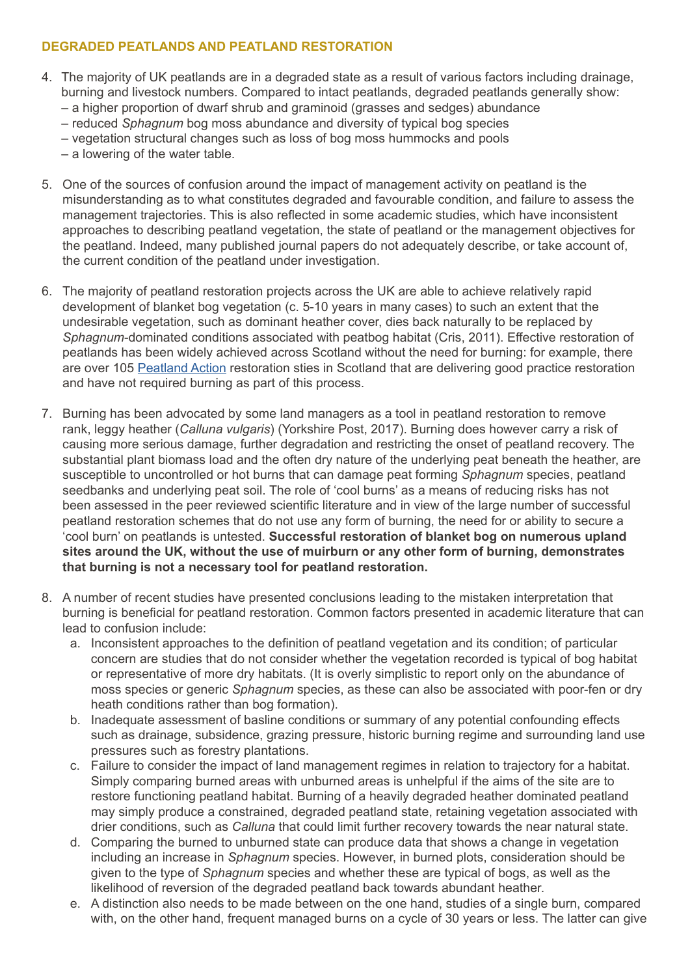## **DEGRADED PEATLANDS AND PEATLAND RESTORATION**

- 4. The majority of UK peatlands are in a degraded state as a result of various factors including drainage, burning and livestock numbers. Compared to intact peatlands, degraded peatlands generally show: – a higher proportion of dwarf shrub and graminoid (grasses and sedges) abundance
	- reduced *Sphagnum* bog moss abundance and diversity of typical bog species
	- vegetation structural changes such as loss of bog moss hummocks and pools
	- a lowering of the water table.
- 5. One of the sources of confusion around the impact of management activity on peatland is the misunderstanding as to what constitutes degraded and favourable condition, and failure to assess the management trajectories. This is also reflected in some academic studies, which have inconsistent approaches to describing peatland vegetation, the state of peatland or the management objectives for the peatland. Indeed, many published journal papers do not adequately describe, or take account of, the current condition of the peatland under investigation.
- 6. The majority of peatland restoration projects across the UK are able to achieve relatively rapid development of blanket bog vegetation (c. 5-10 years in many cases) to such an extent that the undesirable vegetation, such as dominant heather cover, dies back naturally to be replaced by *Sphagnum*-dominated conditions associated with peatbog habitat (Cris, 2011). Effective restoration of peatlands has been widely achieved across Scotland without the need for burning: for example, there are over 105 [Peatland Action](http://www.snh.gov.uk/climate-change/taking-action/carbon-management/peatland-action/information-for-applicants/) restoration sties in Scotland that are delivering good practice restoration and have not required burning as part of this process.
- 7. Burning has been advocated by some land managers as a tool in peatland restoration to remove rank, leggy heather (*Calluna vulgaris*) (Yorkshire Post, 2017). Burning does however carry a risk of causing more serious damage, further degradation and restricting the onset of peatland recovery. The substantial plant biomass load and the often dry nature of the underlying peat beneath the heather, are susceptible to uncontrolled or hot burns that can damage peat forming *Sphagnum* species, peatland seedbanks and underlying peat soil. The role of 'cool burns' as a means of reducing risks has not been assessed in the peer reviewed scientific literature and in view of the large number of successful peatland restoration schemes that do not use any form of burning, the need for or ability to secure a 'cool burn' on peatlands is untested. **Successful restoration of blanket bog on numerous upland sites around the UK, without the use of muirburn or any other form of burning, demonstrates that burning is not a necessary tool for peatland restoration.**
- 8. A number of recent studies have presented conclusions leading to the mistaken interpretation that burning is beneficial for peatland restoration. Common factors presented in academic literature that can lead to confusion include:
	- a. Inconsistent approaches to the definition of peatland vegetation and its condition; of particular concern are studies that do not consider whether the vegetation recorded is typical of bog habitat or representative of more dry habitats. (It is overly simplistic to report only on the abundance of moss species or generic *Sphagnum* species, as these can also be associated with poor-fen or dry heath conditions rather than bog formation).
	- b. Inadequate assessment of basline conditions or summary of any potential confounding effects such as drainage, subsidence, grazing pressure, historic burning regime and surrounding land use pressures such as forestry plantations.
	- c. Failure to consider the impact of land management regimes in relation to trajectory for a habitat. Simply comparing burned areas with unburned areas is unhelpful if the aims of the site are to restore functioning peatland habitat. Burning of a heavily degraded heather dominated peatland may simply produce a constrained, degraded peatland state, retaining vegetation associated with drier conditions, such as *Calluna* that could limit further recovery towards the near natural state.
	- d. Comparing the burned to unburned state can produce data that shows a change in vegetation including an increase in *Sphagnum* species. However, in burned plots, consideration should be given to the type of *Sphagnum* species and whether these are typical of bogs, as well as the likelihood of reversion of the degraded peatland back towards abundant heather.
	- e. A distinction also needs to be made between on the one hand, studies of a single burn, compared with, on the other hand, frequent managed burns on a cycle of 30 years or less. The latter can give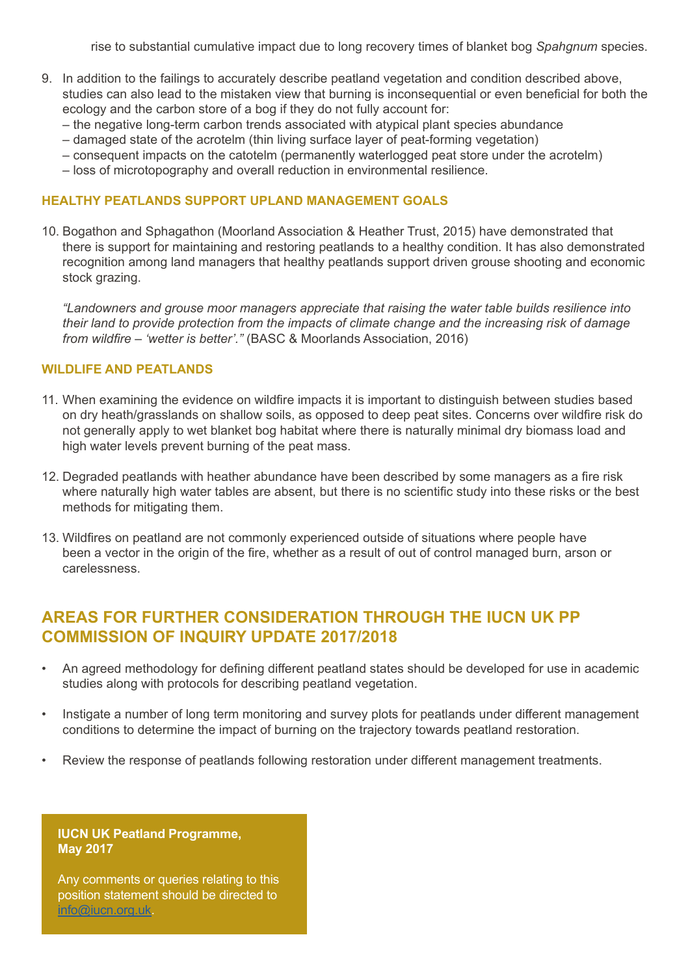rise to substantial cumulative impact due to long recovery times of blanket bog *Spahgnum* species.

- 9. In addition to the failings to accurately describe peatland vegetation and condition described above, studies can also lead to the mistaken view that burning is inconsequential or even beneficial for both the ecology and the carbon store of a bog if they do not fully account for:
	- the negative long-term carbon trends associated with atypical plant species abundance
	- damaged state of the acrotelm (thin living surface layer of peat-forming vegetation)
	- consequent impacts on the catotelm (permanently waterlogged peat store under the acrotelm)
	- loss of microtopography and overall reduction in environmental resilience.

#### **HEALTHY PEATLANDS SUPPORT UPLAND MANAGEMENT GOALS**

10. Bogathon and Sphagathon (Moorland Association & Heather Trust, 2015) have demonstrated that there is support for maintaining and restoring peatlands to a healthy condition. It has also demonstrated recognition among land managers that healthy peatlands support driven grouse shooting and economic stock grazing.

*"Landowners and grouse moor managers appreciate that raising the water table builds resilience into their land to provide protection from the impacts of climate change and the increasing risk of damage from wildfire – 'wetter is better'."* (BASC & Moorlands Association, 2016)

#### **WILDLIFE AND PEATLANDS**

- 11. When examining the evidence on wildfire impacts it is important to distinguish between studies based on dry heath/grasslands on shallow soils, as opposed to deep peat sites. Concerns over wildfire risk do not generally apply to wet blanket bog habitat where there is naturally minimal dry biomass load and high water levels prevent burning of the peat mass.
- 12. Degraded peatlands with heather abundance have been described by some managers as a fire risk where naturally high water tables are absent, but there is no scientific study into these risks or the best methods for mitigating them.
- 13. Wildfires on peatland are not commonly experienced outside of situations where people have been a vector in the origin of the fire, whether as a result of out of control managed burn, arson or carelessness.

# **AREAS FOR FURTHER CONSIDERATION THROUGH THE IUCN UK PP COMMISSION OF INQUIRY UPDATE 2017/2018**

- An agreed methodology for defining different peatland states should be developed for use in academic studies along with protocols for describing peatland vegetation.
- Instigate a number of long term monitoring and survey plots for peatlands under different management conditions to determine the impact of burning on the trajectory towards peatland restoration.
- Review the response of peatlands following restoration under different management treatments.

#### **IUCN UK Peatland Programme, May 2017**

Any comments or queries relating to this position statement should be directed to [info@iucn.org.uk.](mailto:info@iucn.org.uk)